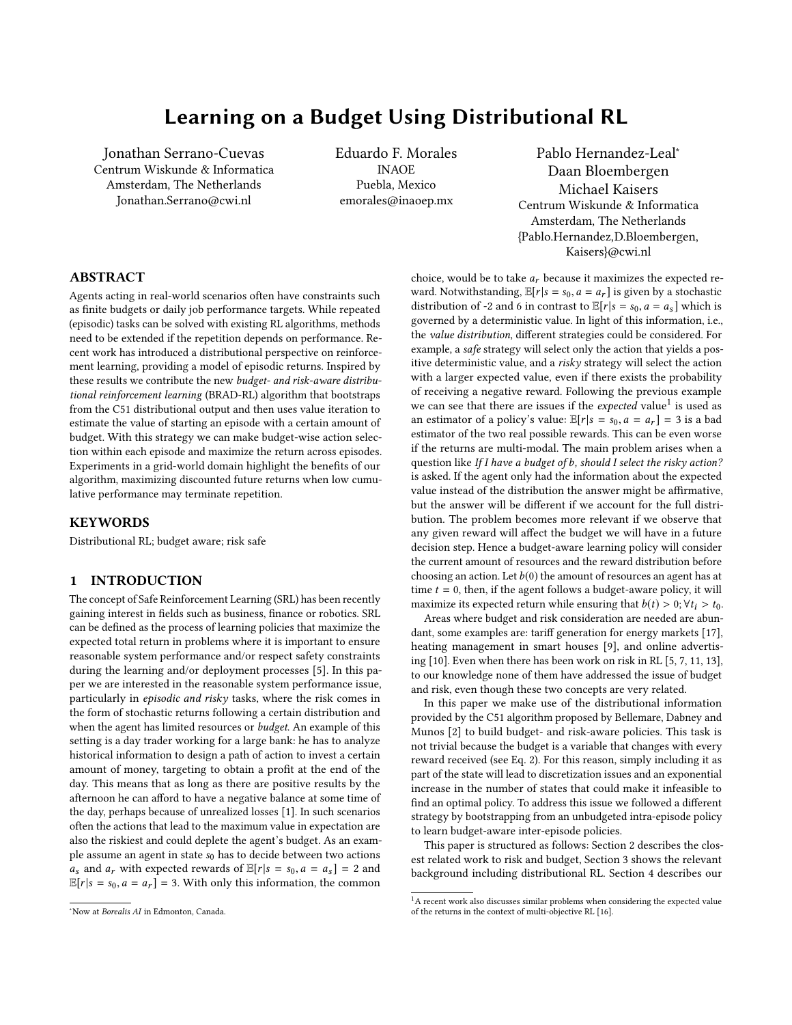# Learning on a Budget Using Distributional RL

Jonathan Serrano-Cuevas Centrum Wiskunde & Informatica Amsterdam, The Netherlands Jonathan.Serrano@cwi.nl

Eduardo F. Morales INAOE Puebla, Mexico emorales@inaoep.mx

Pablo Hernandez-Leal<sup>∗</sup> Daan Bloembergen Michael Kaisers Centrum Wiskunde & Informatica Amsterdam, The Netherlands {Pablo.Hernandez,D.Bloembergen, Kaisers}@cwi.nl

# ABSTRACT

Agents acting in real-world scenarios often have constraints such as finite budgets or daily job performance targets. While repeated (episodic) tasks can be solved with existing RL algorithms, methods need to be extended if the repetition depends on performance. Recent work has introduced a distributional perspective on reinforcement learning, providing a model of episodic returns. Inspired by these results we contribute the new budget- and risk-aware distributional reinforcement learning (BRAD-RL) algorithm that bootstraps from the C51 distributional output and then uses value iteration to estimate the value of starting an episode with a certain amount of budget. With this strategy we can make budget-wise action selection within each episode and maximize the return across episodes. Experiments in a grid-world domain highlight the benefits of our algorithm, maximizing discounted future returns when low cumulative performance may terminate repetition.

# **KEYWORDS**

Distributional RL; budget aware; risk safe

# 1 INTRODUCTION

The concept of Safe Reinforcement Learning (SRL) has been recently gaining interest in fields such as business, finance or robotics. SRL can be defined as the process of learning policies that maximize the expected total return in problems where it is important to ensure reasonable system performance and/or respect safety constraints during the learning and/or deployment processes [\[5\]](#page-5-0). In this paper we are interested in the reasonable system performance issue, particularly in episodic and risky tasks, where the risk comes in the form of stochastic returns following a certain distribution and when the agent has limited resources or budget. An example of this setting is a day trader working for a large bank: he has to analyze historical information to design a path of action to invest a certain amount of money, targeting to obtain a profit at the end of the day. This means that as long as there are positive results by the afternoon he can afford to have a negative balance at some time of the day, perhaps because of unrealized losses [\[1\]](#page-5-1). In such scenarios often the actions that lead to the maximum value in expectation are also the riskiest and could deplete the agent's budget. As an example assume an agent in state  $s_0$  has to decide between two actions  $a_s$  and  $a_r$  with expected rewards of  $\mathbb{E}[r|s = s_0, a = a_s] = 2$  and  $\mathbb{E}[r|s = s_0, a = a_r] = 3$ . With only this information, the common

choice, would be to take  $a_r$  because it maximizes the expected reward. Notwithstanding,  $\mathbb{E}[r|s = s_0, a = a_r]$  is given by a stochastic distribution of -2 and 6 in contrast to  $\mathbb{E}[r|s = s_0, a = a_s]$  which is governed by a deterministic value. In light of this information, i.e., the value distribution, different strategies could be considered. For example, a safe strategy will select only the action that yields a positive deterministic value, and a risky strategy will select the action with a larger expected value, even if there exists the probability of receiving a negative reward. Following the previous example we can see that there are issues if the *expected* value<sup>[1](#page-0-0)</sup> is used as an estimator of a policy's value:  $\mathbb{E}[r|s = s_0, a = a_r] = 3$  is a bad estimator of the two real possible rewards. This can be even worse if the returns are multi-modal. The main problem arises when a question like If I have a budget of b, should I select the risky action? is asked. If the agent only had the information about the expected value instead of the distribution the answer might be affirmative, but the answer will be different if we account for the full distribution. The problem becomes more relevant if we observe that any given reward will affect the budget we will have in a future decision step. Hence a budget-aware learning policy will consider the current amount of resources and the reward distribution before choosing an action. Let  $b(0)$  the amount of resources an agent has at time  $t = 0$ , then, if the agent follows a budget-aware policy, it will maximize its expected return while ensuring that  $b(t) > 0$ ;  $\forall t_i > t_0$ .

Areas where budget and risk consideration are needed are abundant, some examples are: tariff generation for energy markets [\[17\]](#page-5-2), heating management in smart houses [\[9\]](#page-5-3), and online advertising [\[10\]](#page-5-4). Even when there has been work on risk in RL [\[5,](#page-5-0) [7,](#page-5-5) [11,](#page-5-6) [13\]](#page-5-7), to our knowledge none of them have addressed the issue of budget and risk, even though these two concepts are very related.

In this paper we make use of the distributional information provided by the C51 algorithm proposed by Bellemare, Dabney and Munos [\[2\]](#page-5-8) to build budget- and risk-aware policies. This task is not trivial because the budget is a variable that changes with every reward received (see Eq. [2\)](#page-2-0). For this reason, simply including it as part of the state will lead to discretization issues and an exponential increase in the number of states that could make it infeasible to find an optimal policy. To address this issue we followed a different strategy by bootstrapping from an unbudgeted intra-episode policy to learn budget-aware inter-episode policies.

This paper is structured as follows: Section [2](#page-1-0) describes the closest related work to risk and budget, Section [3](#page-1-1) shows the relevant background including distributional RL. Section [4](#page-2-1) describes our

<sup>∗</sup>Now at Borealis AI in Edmonton, Canada.

<span id="page-0-0"></span> $1A$  recent work also discusses similar problems when considering the expected value of the returns in the context of multi-objective RL [\[16\]](#page-5-9).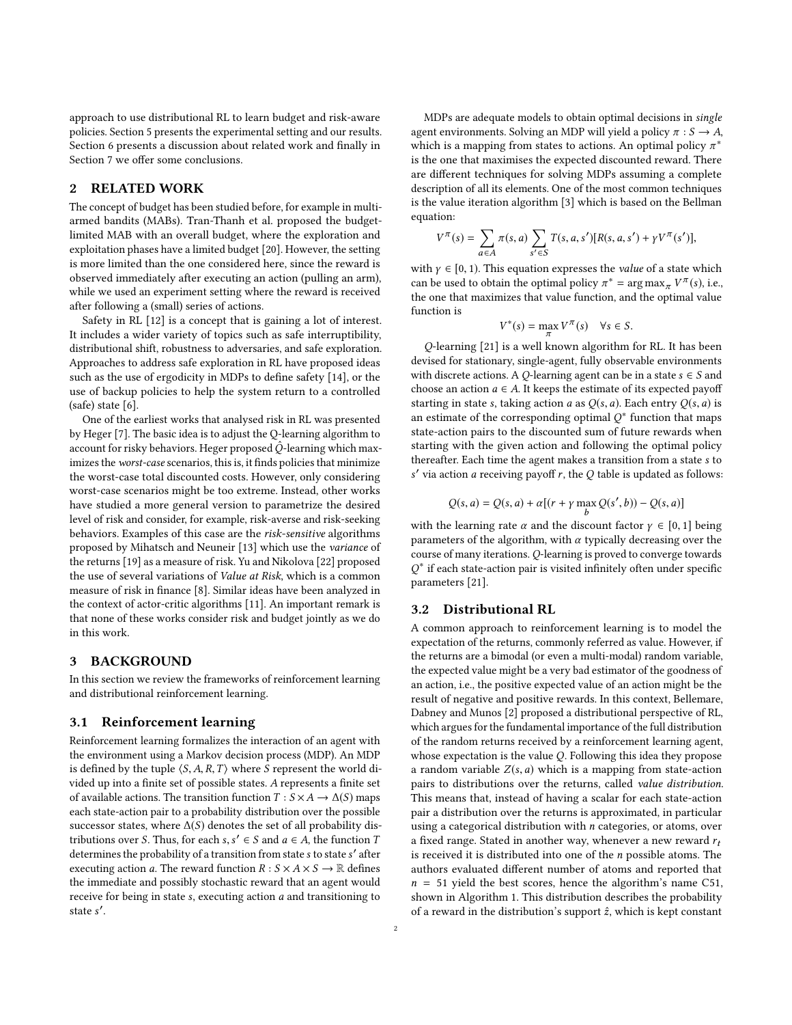approach to use distributional RL to learn budget and risk-aware policies. Section [5](#page-3-0) presents the experimental setting and our results. Section [6](#page-5-10) presents a discussion about related work and finally in Section [7](#page-5-11) we offer some conclusions.

# <span id="page-1-0"></span>2 RELATED WORK

The concept of budget has been studied before, for example in multiarmed bandits (MABs). Tran-Thanh et al. proposed the budgetlimited MAB with an overall budget, where the exploration and exploitation phases have a limited budget [\[20\]](#page-5-12). However, the setting is more limited than the one considered here, since the reward is observed immediately after executing an action (pulling an arm), while we used an experiment setting where the reward is received after following a (small) series of actions.

Safety in RL [\[12\]](#page-5-13) is a concept that is gaining a lot of interest. It includes a wider variety of topics such as safe interruptibility, distributional shift, robustness to adversaries, and safe exploration. Approaches to address safe exploration in RL have proposed ideas such as the use of ergodicity in MDPs to define safety [\[14\]](#page-5-14), or the use of backup policies to help the system return to a controlled (safe) state [\[6\]](#page-5-15).

One of the earliest works that analysed risk in RL was presented by Heger [\[7\]](#page-5-5). The basic idea is to adjust the Q-learning algorithm to account for risky behaviors. Heger proposed  $\hat{Q}$ -learning which maximizes the worst-case scenarios, this is, it finds policies that minimize the worst-case total discounted costs. However, only considering worst-case scenarios might be too extreme. Instead, other works have studied a more general version to parametrize the desired level of risk and consider, for example, risk-averse and risk-seeking behaviors. Examples of this case are the risk-sensitive algorithms proposed by Mihatsch and Neuneir [\[13\]](#page-5-7) which use the variance of the returns [\[19\]](#page-5-16) as a measure of risk. Yu and Nikolova [\[22\]](#page-5-17) proposed the use of several variations of Value at Risk, which is a common measure of risk in finance [\[8\]](#page-5-18). Similar ideas have been analyzed in the context of actor-critic algorithms [\[11\]](#page-5-6). An important remark is that none of these works consider risk and budget jointly as we do in this work.

# <span id="page-1-1"></span>3 BACKGROUND

In this section we review the frameworks of reinforcement learning and distributional reinforcement learning.

#### 3.1 Reinforcement learning

Reinforcement learning formalizes the interaction of an agent with the environment using a Markov decision process (MDP). An MDP is defined by the tuple  $\langle S, A, R, T \rangle$  where S represent the world divided up into a finite set of possible states. A represents a finite set of available actions. The transition function  $T : S \times A \rightarrow \Delta(S)$  maps each state-action pair to a probability distribution over the possible successor states, where  $\Delta(S)$  denotes the set of all probability distributions over S. Thus, for each s,  $s' \in S$  and  $a \in A$ , the function T<br>determines the probability of a transition from state s to state s' after determines the probability of a transition from state s to state s' after<br>executing action a. The reward function  $R : S \times A \times S \longrightarrow \mathbb{R}$  defines executing action a. The reward function  $R: S \times A \times S \rightarrow \mathbb{R}$  defines the immediate and possibly stochastic reward that an agent would receive for being in state s, executing action  $a$  and transitioning to state s ′ .

MDPs are adequate models to obtain optimal decisions in single agent environments. Solving an MDP will yield a policy  $\pi : S \to A$ , which is a mapping from states to actions. An optimal policy  $\pi^*$  is the one that maximises the expected discounted reward. There is the one that maximises the expected discounted reward. There are different techniques for solving MDPs assuming a complete description of all its elements. One of the most common techniques is the value iteration algorithm [\[3\]](#page-5-19) which is based on the Bellman equation:

$$
V^{\pi}(s) = \sum_{a \in A} \pi(s, a) \sum_{s' \in S} T(s, a, s') [R(s, a, s') + \gamma V^{\pi}(s')],
$$

with  $\gamma \in [0, 1)$ . This equation expresses the *value* of a state which can be used to obtain the optimal policy  $\pi^* = \arg \max_{\alpha} V^{\pi}(\epsilon)$  i.e. can be used to obtain the optimal policy  $\pi^* = \arg \max_{\pi} \sqrt{\pi(s)}$ , i.e., the one that maximizes that value function and the optimal value the one that maximizes that value function, and the optimal value function is

$$
V^*(s) = \max_{\pi} V^{\pi}(s) \quad \forall s \in S.
$$

 $\pi$ Q-learning [\[21\]](#page-5-20) is a well known algorithm for RL. It has been devised for stationary, single-agent, fully observable environments with discrete actions. A Q-learning agent can be in a state  $s \in S$  and choose an action  $a \in A$ . It keeps the estimate of its expected payoff starting in state s, taking action a as  $O(s, a)$ . Each entry  $O(s, a)$  is an estimate of the corresponding optimal  $Q^*$  function that maps<br>state-action pairs to the discounted sum of future rewards when state-action pairs to the discounted sum of future rewards when starting with the given action and following the optimal policy thereafter. Each time the agent makes a transition from a state s to s' via action *a* receiving payoff *r*, the *Q* table is updated as follows:

$$
Q(s, a) = Q(s, a) + \alpha [(r + \gamma \max_b Q(s', b)) - Q(s, a)]
$$

with the learning rate  $\alpha$  and the discount factor  $\gamma \in [0, 1]$  being parameters of the algorithm with  $\alpha$  typically decreasing over the parameters of the algorithm, with  $\alpha$  typically decreasing over the course of many iterations. Q-learning is proved to converge towards Q parameters [\[21\]](#page-5-20). ∗ if each state-action pair is visited infinitely often under specific

## 3.2 Distributional RL

A common approach to reinforcement learning is to model the expectation of the returns, commonly referred as value. However, if the returns are a bimodal (or even a multi-modal) random variable, the expected value might be a very bad estimator of the goodness of an action, i.e., the positive expected value of an action might be the result of negative and positive rewards. In this context, Bellemare, Dabney and Munos [\[2\]](#page-5-8) proposed a distributional perspective of RL, which argues for the fundamental importance of the full distribution of the random returns received by a reinforcement learning agent, whose expectation is the value Q. Following this idea they propose a random variable  $Z(s, a)$  which is a mapping from state-action pairs to distributions over the returns, called value distribution. This means that, instead of having a scalar for each state-action pair a distribution over the returns is approximated, in particular using a categorical distribution with n categories, or atoms, over a fixed range. Stated in another way, whenever a new reward  $r_t$ is received it is distributed into one of the  $n$  possible atoms. The authors evaluated different number of atoms and reported that  $n = 51$  yield the best scores, hence the algorithm's name C51, shown in Algorithm [1.](#page-2-2) This distribution describes the probability of a reward in the distribution's support  $\hat{z}$ , which is kept constant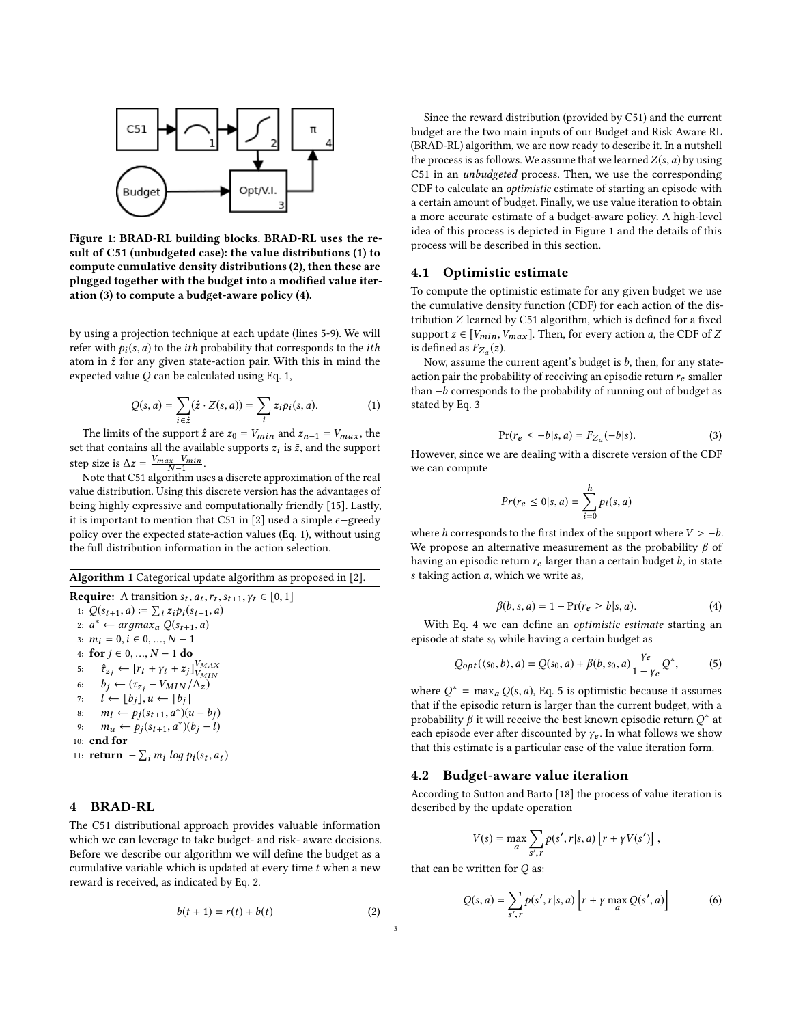<span id="page-2-4"></span>

Figure 1: BRAD-RL building blocks. BRAD-RL uses the result of C51 (unbudgeted case): the value distributions (1) to compute cumulative density distributions (2), then these are plugged together with the budget into a modified value iteration (3) to compute a budget-aware policy (4).

by using a projection technique at each update (lines 5-9). We will refer with  $p_i(s, a)$  to the *ith* probability that corresponds to the *ith* atom in  $\hat{z}$  for any given state-action pair. With this in mind the expected value Q can be calculated using Eq. [1,](#page-2-3)

<span id="page-2-3"></span>
$$
Q(s, a) = \sum_{i \in \hat{z}} (\hat{z} \cdot Z(s, a)) = \sum_{i} z_i p_i(s, a).
$$
 (1)

 $i \in \hat{z}$  i<br>The limits of the support  $\hat{z}$  are  $z_0 = V_{min}$  and  $z_{n-1} = V_{max}$ , the that contains all the available supports  $z_i$  is  $\bar{z}$  and the support set that contains all the available supports  $z_i$  is  $\bar{z}$ , and the support stan size is  $\Delta z = V_{max} - V_{min}$ step size is  $\Delta z = \frac{V_{max} - V_{min}}{N-1}$ .<br>Note that C51 algorithm us

N <sup>−</sup><sup>1</sup> Note that C51 algorithm uses a discrete approximation of the real value distribution. Using this discrete version has the advantages of being highly expressive and computationally friendly [\[15\]](#page-5-21). Lastly, it is important to mention that C51 in [\[2\]](#page-5-8) used a simple  $\epsilon$ -greedy policy over the expected state-action values (Eq. [1\)](#page-2-3), without using the full distribution information in the action selection.

<span id="page-2-2"></span>Algorithm 1 Categorical update algorithm as proposed in [\[2\]](#page-5-8). **Require:** A transition  $s_t$ ,  $a_t$ ,  $r_t$ ,  $s_{t+1}$ ,  $\gamma_t \in [0, 1]$ <br>  $\downarrow$   $O(s_{t+1}, a) = \sum_{s} \gamma_t \gamma_s(s_{t+1}, a)$ 1:  $Q(s_{t+1}, a) := \sum_i z_i p_i(s_{t+1}, a)$ <br>2.  $a^* \leftarrow \text{argmax}_{i} Q(s_{t+1}, a)$ i 2: a <sup>∗</sup> <sup>←</sup> arдmaxa <sup>Q</sup>(st+1, <sup>a</sup>) 3:  $m_i = 0, i \in 0, ..., N - 1$ 4: **for** *j* ∈ 0, ..., *N* − 1 **do**<br>5:  $\hat{\tau}_{z_i} \leftarrow [r_t + \gamma_t + z_j]$ 5:  $\hat{\tau}_{z_j} \leftarrow [r_t + \gamma_t + z_j]_{V_{MIN}}^{V_{MAX}}$ <br>6:  $h_i \leftarrow (\tau_{\text{max}} - V_{MIN} / \Lambda_{\text{max}})$ 6:  $b_j \leftarrow (\tau_{z_j} - V_{MIN}/\Delta_z)$ <br>7:  $l \leftarrow |b_j|, u \leftarrow |b_j|$ 7:  $l \leftarrow \lfloor b_j \rfloor, u \leftarrow \lceil b_j \rceil$ <br>8:  $m_l \leftarrow p_j(s_{t+1}, a^*)$ 8:  $m_l \leftarrow p_j(s_{t+1}, a^*)(u - b_j)$ <br>
9:  $m_{l} \leftarrow p_l(s_{t+1}, a^*)(b_l - b_j)$ 9:  $m_u \leftarrow p_j(s_{t+1}, a^*)(b_j - l)$ 10: end for 11: **return**  $-\sum_i m_i \log p_i(s_t, a_t)$ 

# <span id="page-2-1"></span>4 BRAD-RL

The C51 distributional approach provides valuable information which we can leverage to take budget- and risk- aware decisions. Before we describe our algorithm we will define the budget as a cumulative variable which is updated at every time  $t$  when a new reward is received, as indicated by Eq. [2.](#page-2-0)

<span id="page-2-0"></span>
$$
b(t+1) = r(t) + b(t) \tag{2}
$$

Since the reward distribution (provided by C51) and the current budget are the two main inputs of our Budget and Risk Aware RL (BRAD-RL) algorithm, we are now ready to describe it. In a nutshell the process is as follows. We assume that we learned  $Z(s, a)$  by using C51 in an unbudgeted process. Then, we use the corresponding CDF to calculate an optimistic estimate of starting an episode with a certain amount of budget. Finally, we use value iteration to obtain a more accurate estimate of a budget-aware policy. A high-level idea of this process is depicted in Figure [1](#page-2-4) and the details of this process will be described in this section.

#### 4.1 Optimistic estimate

To compute the optimistic estimate for any given budget we use the cumulative density function (CDF) for each action of the distribution Z learned by C51 algorithm, which is defined for a fixed support  $z \in [V_{min}, V_{max}]$ . Then, for every action *a*, the CDF of *Z* is defined as  $F_{Z_a}(z)$ .<br>Now assume the

Now, assume the current agent's budget is  $b$ , then, for any stateaction pair the probability of receiving an episodic return  $r_e$  smaller than  $-b$  corresponds to the probability of running out of budget as stated by Eq. [3](#page-2-5)

<span id="page-2-5"></span>
$$
Pr(r_e \le -b|s, a) = F_{Z_a}(-b|s). \tag{3}
$$

 $Pr(r_e \le -b|s, a) = F_{Z_a}(-b|s).$  (3)<br>However, since we are dealing with a discrete version of the CDF we can compute

$$
Pr(r_e \le 0 | s, a) = \sum_{i=0}^{h} p_i(s, a)
$$

where h corresponds to the first index of the support where  $V > -b$ .<br>We propose an alternative measurement as the probability  $\beta$  of We propose an alternative measurement as the probability  $\beta$  of having an episodic return  $r_e$  larger than a certain budget  $b$ , in state s taking action a, which we write as,

<span id="page-2-6"></span>
$$
\beta(b, s, a) = 1 - \Pr(r_e \ge b | s, a). \tag{4}
$$

With Eq. [4](#page-2-6) we can define an optimistic estimate starting an episode at state  $s_0$  while having a certain budget as

<span id="page-2-7"></span>
$$
Q_{opt}(\langle s_0, b \rangle, a) = Q(s_0, a) + \beta(b, s_0, a) \frac{\gamma_e}{1 - \gamma_e} Q^*,
$$
 (5)

where  $Q^* = \max_a Q(s, a)$ , Eq. [5](#page-2-7) is optimistic because it assumes<br>that if the episodic return is larger than the current budget, with a that if the episodic return is larger than the current budget, with a probability  $\beta$  it will receive the best known episodic return  $Q^*$  at each episode ever ofter discounted by  $\kappa$ . In what follows we show each episode ever after discounted by  $\gamma_e$ . In what follows we show that this estimate is a particular case of the value iteration form.

### 4.2 Budget-aware value iteration

According to Sutton and Barto [\[18\]](#page-5-22) the process of value iteration is described by the update operation

$$
V(s) = \max_{a} \sum_{s',r} p(s',r|s,a) \left[ r + \gamma V(s') \right],
$$

that can be written for  $Q$  as:

3

<span id="page-2-8"></span>
$$
Q(s,a) = \sum_{s',r} p(s',r|s,a) \left[ r + \gamma \max_{a} Q(s',a) \right]
$$
 (6)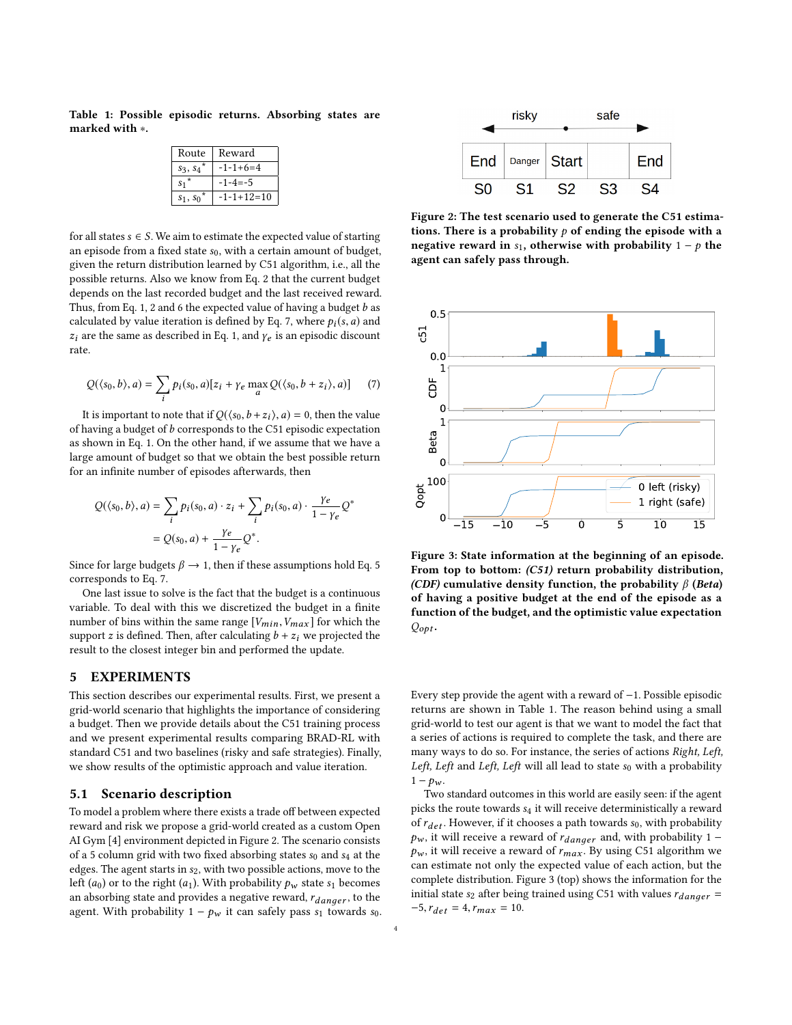<span id="page-3-3"></span>Table 1: Possible episodic returns. Absorbing states are marked with ∗.

| Route      | Reward        |
|------------|---------------|
| $s_3, s_4$ | $-1-1+6=4$    |
| $S_1^*$    | $-1 - 4 = -5$ |
| $s_1, s_0$ | $-1-1+12=10$  |
|            |               |

for all states  $s \in S$ . We aim to estimate the expected value of starting an episode from a fixed state  $s_0$ , with a certain amount of budget, given the return distribution learned by C51 algorithm, i.e., all the possible returns. Also we know from Eq. [2](#page-2-0) that the current budget depends on the last recorded budget and the last received reward. Thus, from Eq. [1,](#page-2-3) [2](#page-2-0) and [6](#page-2-8) the expected value of having a budget  $b$  as calculated by value iteration is defined by Eq. [7,](#page-3-1) where  $p_i(s, a)$  and  $z_i$  are the same as described in Eq. [1,](#page-2-3) and  $\gamma_e$  is an episodic discount rate.

<span id="page-3-1"></span>
$$
Q(\langle s_0, b \rangle, a) = \sum_i p_i(s_0, a)[z_i + \gamma_e \max_a Q(\langle s_0, b + z_i \rangle, a)] \tag{7}
$$

It is important to note that if  $Q(\langle s_0, b + z_i \rangle, a) = 0$ , then the value having a budget of h corresponds to the C51 episodic expectation of having a budget of  $b$  corresponds to the C51 episodic expectation as shown in Eq. [1.](#page-2-3) On the other hand, if we assume that we have a large amount of budget so that we obtain the best possible return for an infinite number of episodes afterwards, then

$$
Q(\langle s_0, b \rangle, a) = \sum_i p_i(s_0, a) \cdot z_i + \sum_i p_i(s_0, a) \cdot \frac{\gamma e}{1 - \gamma e} Q
$$
  
=  $Q(s_0, a) + \frac{\gamma e}{1 - \gamma e} Q^*$ .

Since for large budgets  $\beta \rightarrow 1$ , then if these assumptions hold Eq. [5](#page-2-7)<br>corresponds to Eq. 7 corresponds to Eq. [7.](#page-3-1)

One last issue to solve is the fact that the budget is a continuous variable. To deal with this we discretized the budget in a finite number of bins within the same range  $[V_{min}, V_{max}]$  for which the support z is defined. Then, after calculating  $b + z_i$  we projected the result to the closest integer bin and performed the update.

# <span id="page-3-0"></span>5 EXPERIMENTS

This section describes our experimental results. First, we present a grid-world scenario that highlights the importance of considering a budget. Then we provide details about the C51 training process and we present experimental results comparing BRAD-RL with standard C51 and two baselines (risky and safe strategies). Finally, we show results of the optimistic approach and value iteration.

### 5.1 Scenario description

To model a problem where there exists a trade off between expected reward and risk we propose a grid-world created as a custom Open AI Gym [\[4\]](#page-5-23) environment depicted in Figure [2.](#page-3-2) The scenario consists of a 5 column grid with two fixed absorbing states  $s_0$  and  $s_4$  at the edges. The agent starts in  $s_2$ , with two possible actions, move to the left ( $a_0$ ) or to the right ( $a_1$ ). With probability  $p_w$  state  $s_1$  becomes an absorbing state and provides a negative reward,  $r_{dander}$ , to the agent. With probability  $1 - p_w$  it can safely pass  $s_1$  towards  $s_0$ .

<span id="page-3-2"></span>

Figure 2: The test scenario used to generate the C51 estimations. There is a probability  $p$  of ending the episode with a negative reward in s<sub>1</sub>, otherwise with probability  $1 - p$  the agent can safely pass through.

<span id="page-3-4"></span>

Figure 3: State information at the beginning of an episode. From top to bottom: (C51) return probability distribution, (CDF) cumulative density function, the probability  $\beta$  (Beta) of having a positive budget at the end of the episode as a function of the budget, and the optimistic value expectation  $Q_{opt}$ .

Every step provide the agent with a reward of −1. Possible episodic returns are shown in Table [1.](#page-3-3) The reason behind using a small grid-world to test our agent is that we want to model the fact that a series of actions is required to complete the task, and there are many ways to do so. For instance, the series of actions Right, Left, Left, Left and Left, Left will all lead to state  $s_0$  with a probability  $1 - p_w$ .

Two standard outcomes in this world are easily seen: if the agent picks the route towards  $s_4$  it will receive deterministically a reward of  $r_{det}$ . However, if it chooses a path towards  $s_0$ , with probability  $p_w$ , it will receive a reward of  $r_{danger}$  and, with probability 1 –  $p_w$  , it will receive a reward of  $r_{max}$  . By using C51 algorithm we can estimate not only the expected value of each action, but the complete distribution. Figure [3](#page-3-4) (top) shows the information for the initial state s<sub>2</sub> after being trained using C51 with values  $r_{dancer}$  =  $-5, r_{det} = 4, r_{max} = 10.$ 

∗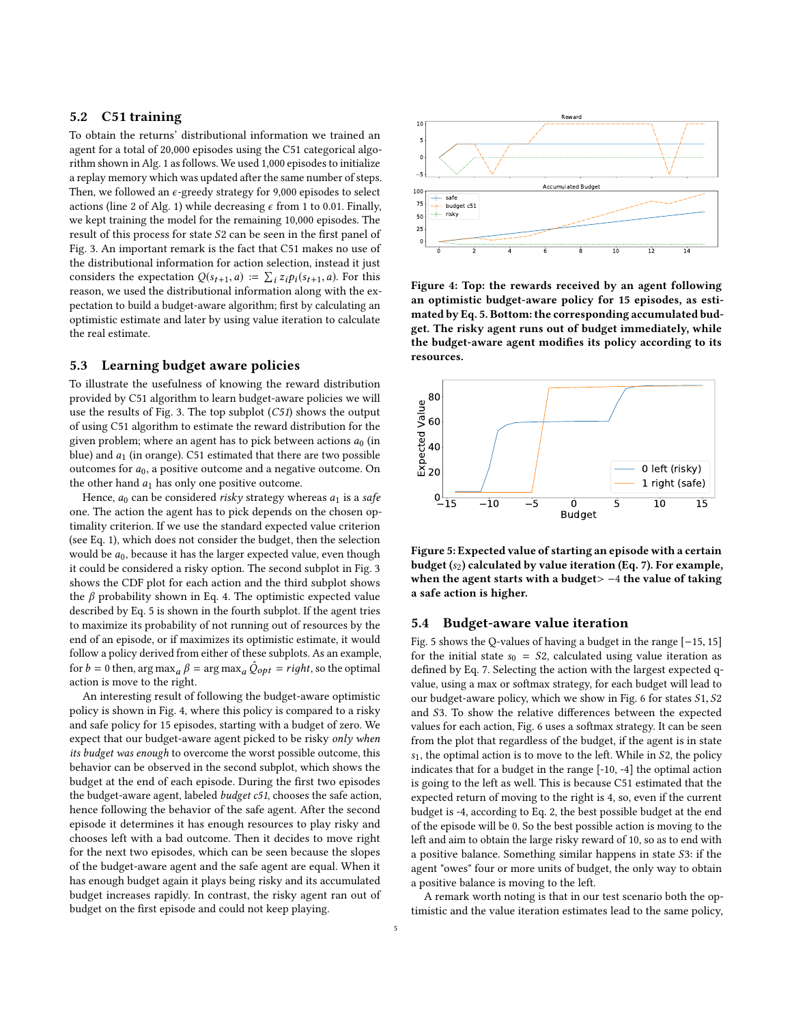# 5.2 C51 training

To obtain the returns' distributional information we trained an agent for a total of 20,000 episodes using the C51 categorical algorithm shown in Alg. [1](#page-2-2) as follows. We used 1,000 episodes to initialize a replay memory which was updated after the same number of steps. Then, we followed an  $\epsilon$ -greedy strategy for 9,000 episodes to select actions (line 2 of Alg. [1\)](#page-2-2) while decreasing  $\epsilon$  from 1 to 0.01. Finally, we kept training the model for the remaining 10,000 episodes. The result of this process for state S<sup>2</sup> can be seen in the first panel of Fig. [3.](#page-3-4) An important remark is the fact that C51 makes no use of the distributional information for action selection, instead it just considers the expectation  $Q(s_{t+1}, a) := \sum_i z_i p_i(s_{t+1}, a)$ . For this reason, we used the distributional information along with the expectation to build a budget-aware algorithm; first by calculating an optimistic estimate and later by using value iteration to calculate the real estimate.

# 5.3 Learning budget aware policies

To illustrate the usefulness of knowing the reward distribution provided by C51 algorithm to learn budget-aware policies we will use the results of Fig. [3.](#page-3-4) The top subplot (C51) shows the output of using C51 algorithm to estimate the reward distribution for the given problem; where an agent has to pick between actions  $a_0$  (in blue) and  $a_1$  (in orange). C51 estimated that there are two possible outcomes for  $a_0$ , a positive outcome and a negative outcome. On the other hand  $a_1$  has only one positive outcome.

Hence,  $a_0$  can be considered risky strategy whereas  $a_1$  is a safe one. The action the agent has to pick depends on the chosen optimality criterion. If we use the standard expected value criterion (see Eq. [1\)](#page-2-3), which does not consider the budget, then the selection would be  $a_0$ , because it has the larger expected value, even though it could be considered a risky option. The second subplot in Fig. [3](#page-3-4) shows the CDF plot for each action and the third subplot shows the  $β$  probability shown in Eq. [4.](#page-2-6) The optimistic expected value described by Eq. [5](#page-2-7) is shown in the fourth subplot. If the agent tries to maximize its probability of not running out of resources by the end of an episode, or if maximizes its optimistic estimate, it would follow a policy derived from either of these subplots. As an example, for  $b = 0$  then, arg max<sub>a</sub>  $\hat{\beta} = \arg \max_a \hat{Q}_{opt} = right$ , so the optimal action is move to the right action is move to the right.

An interesting result of following the budget-aware optimistic policy is shown in Fig. [4,](#page-4-0) where this policy is compared to a risky and safe policy for 15 episodes, starting with a budget of zero. We expect that our budget-aware agent picked to be risky only when its budget was enough to overcome the worst possible outcome, this behavior can be observed in the second subplot, which shows the budget at the end of each episode. During the first two episodes the budget-aware agent, labeled budget c51, chooses the safe action, hence following the behavior of the safe agent. After the second episode it determines it has enough resources to play risky and chooses left with a bad outcome. Then it decides to move right for the next two episodes, which can be seen because the slopes of the budget-aware agent and the safe agent are equal. When it has enough budget again it plays being risky and its accumulated budget increases rapidly. In contrast, the risky agent ran out of budget on the first episode and could not keep playing.

<span id="page-4-0"></span>

Figure 4: Top: the rewards received by an agent following an optimistic budget-aware policy for 15 episodes, as estimated by Eq. [5.](#page-2-7) Bottom: the corresponding accumulated budget. The risky agent runs out of budget immediately, while the budget-aware agent modifies its policy according to its resources.

<span id="page-4-1"></span>

Figure 5: Expected value of starting an episode with a certain budget  $(s_2)$  calculated by value iteration (Eq. [7\)](#page-3-1). For example, when the agent starts with a budget> -4 the value of taking a safe action is higher.

#### 5.4 Budget-aware value iteration

Fig. [5](#page-4-1) shows the Q-values of having a budget in the range [−15, <sup>15</sup>] for the initial state  $s_0 = S_2$ , calculated using value iteration as defined by Eq. [7.](#page-3-1) Selecting the action with the largest expected qvalue, using a max or softmax strategy, for each budget will lead to our budget-aware policy, which we show in Fig. [6](#page-5-24) for states S1, S<sup>2</sup> and S3. To show the relative differences between the expected values for each action, Fig. [6](#page-5-24) uses a softmax strategy. It can be seen from the plot that regardless of the budget, if the agent is in state  $s<sub>1</sub>$ , the optimal action is to move to the left. While in S2, the policy indicates that for a budget in the range [-10, -4] the optimal action is going to the left as well. This is because C51 estimated that the expected return of moving to the right is 4, so, even if the current budget is -4, according to Eq. [2,](#page-2-0) the best possible budget at the end of the episode will be 0. So the best possible action is moving to the left and aim to obtain the large risky reward of 10, so as to end with a positive balance. Something similar happens in state S3: if the agent "owes" four or more units of budget, the only way to obtain a positive balance is moving to the left.

A remark worth noting is that in our test scenario both the optimistic and the value iteration estimates lead to the same policy,